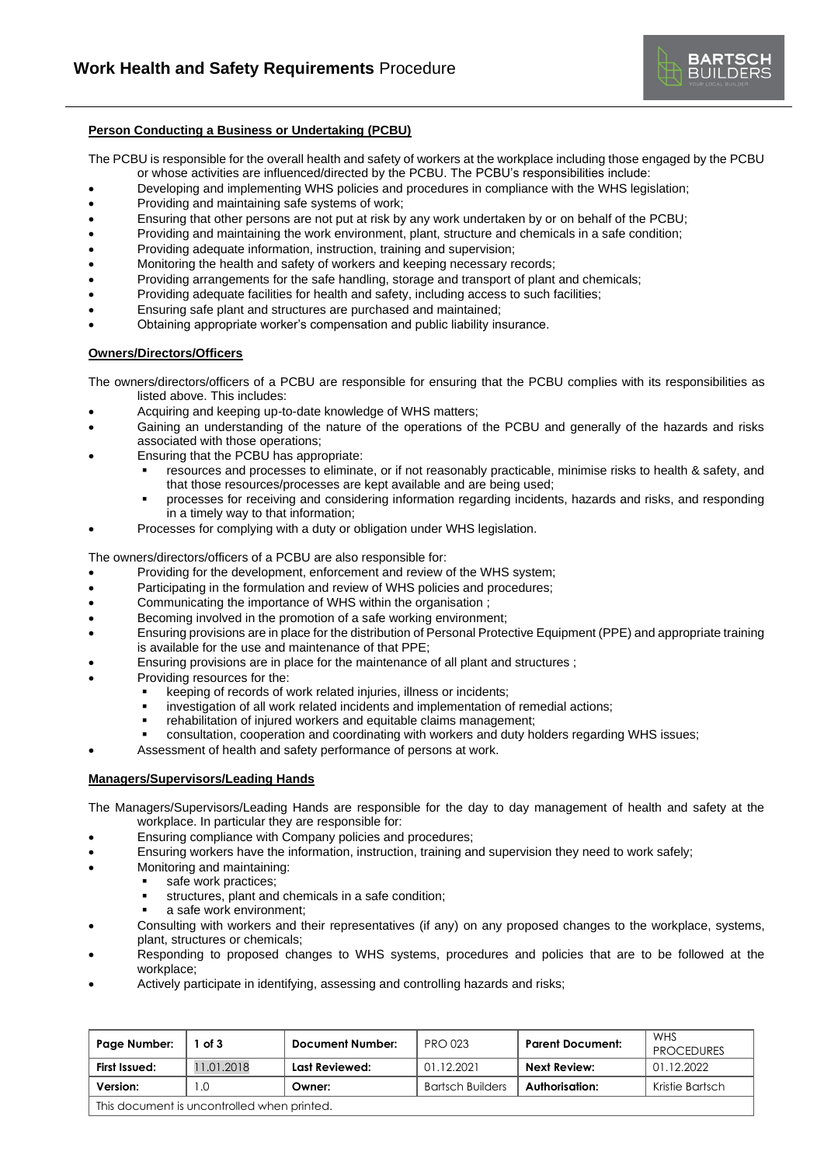

## **Person Conducting a Business or Undertaking (PCBU)**

The PCBU is responsible for the overall health and safety of workers at the workplace including those engaged by the PCBU or whose activities are influenced/directed by the PCBU. The PCBU's responsibilities include:

- Developing and implementing WHS policies and procedures in compliance with the WHS legislation;
- Providing and maintaining safe systems of work;
- Ensuring that other persons are not put at risk by any work undertaken by or on behalf of the PCBU;
- Providing and maintaining the work environment, plant, structure and chemicals in a safe condition;
- Providing adequate information, instruction, training and supervision;
- Monitoring the health and safety of workers and keeping necessary records;
- Providing arrangements for the safe handling, storage and transport of plant and chemicals;
- Providing adequate facilities for health and safety, including access to such facilities;
- Ensuring safe plant and structures are purchased and maintained;
- Obtaining appropriate worker's compensation and public liability insurance.

### **Owners/Directors/Officers**

The owners/directors/officers of a PCBU are responsible for ensuring that the PCBU complies with its responsibilities as listed above. This includes:

- Acquiring and keeping up-to-date knowledge of WHS matters;
- Gaining an understanding of the nature of the operations of the PCBU and generally of the hazards and risks associated with those operations;
- Ensuring that the PCBU has appropriate:
	- resources and processes to eliminate, or if not reasonably practicable, minimise risks to health & safety, and that those resources/processes are kept available and are being used;
	- processes for receiving and considering information regarding incidents, hazards and risks, and responding in a timely way to that information;
	- Processes for complying with a duty or obligation under WHS legislation.

The owners/directors/officers of a PCBU are also responsible for:

- Providing for the development, enforcement and review of the WHS system;
- Participating in the formulation and review of WHS policies and procedures;
- Communicating the importance of WHS within the organisation ;
- Becoming involved in the promotion of a safe working environment:
- Ensuring provisions are in place for the distribution of Personal Protective Equipment (PPE) and appropriate training is available for the use and maintenance of that PPE;
- Ensuring provisions are in place for the maintenance of all plant and structures ;
- Providing resources for the:
	- keeping of records of work related injuries, illness or incidents;
	- investigation of all work related incidents and implementation of remedial actions;
	- rehabilitation of injured workers and equitable claims management;
	- consultation, cooperation and coordinating with workers and duty holders regarding WHS issues;
- Assessment of health and safety performance of persons at work.

#### **Managers/Supervisors/Leading Hands**

The Managers/Supervisors/Leading Hands are responsible for the day to day management of health and safety at the workplace. In particular they are responsible for:

- Ensuring compliance with Company policies and procedures;
- Ensuring workers have the information, instruction, training and supervision they need to work safely;
- Monitoring and maintaining:
	- safe work practices;
	- structures, plant and chemicals in a safe condition;
	- a safe work environment;
- Consulting with workers and their representatives (if any) on any proposed changes to the workplace, systems, plant, structures or chemicals;
- Responding to proposed changes to WHS systems, procedures and policies that are to be followed at the workplace;
- Actively participate in identifying, assessing and controlling hazards and risks;

| Page Number:                                | of 3       | <b>Document Number:</b> | <b>PRO 023</b>          | <b>Parent Document:</b> | <b>WHS</b><br><b>PROCEDURES</b> |  |  |
|---------------------------------------------|------------|-------------------------|-------------------------|-------------------------|---------------------------------|--|--|
| First Issued:                               | 11.01.2018 | Last Reviewed:          | 01.12.2021              | Next Review:            | 01.12.2022                      |  |  |
| Version:                                    |            | Owner:                  | <b>Bartsch Builders</b> | Authorisation:          | Kristie Bartsch                 |  |  |
| This document is uncontrolled when printed. |            |                         |                         |                         |                                 |  |  |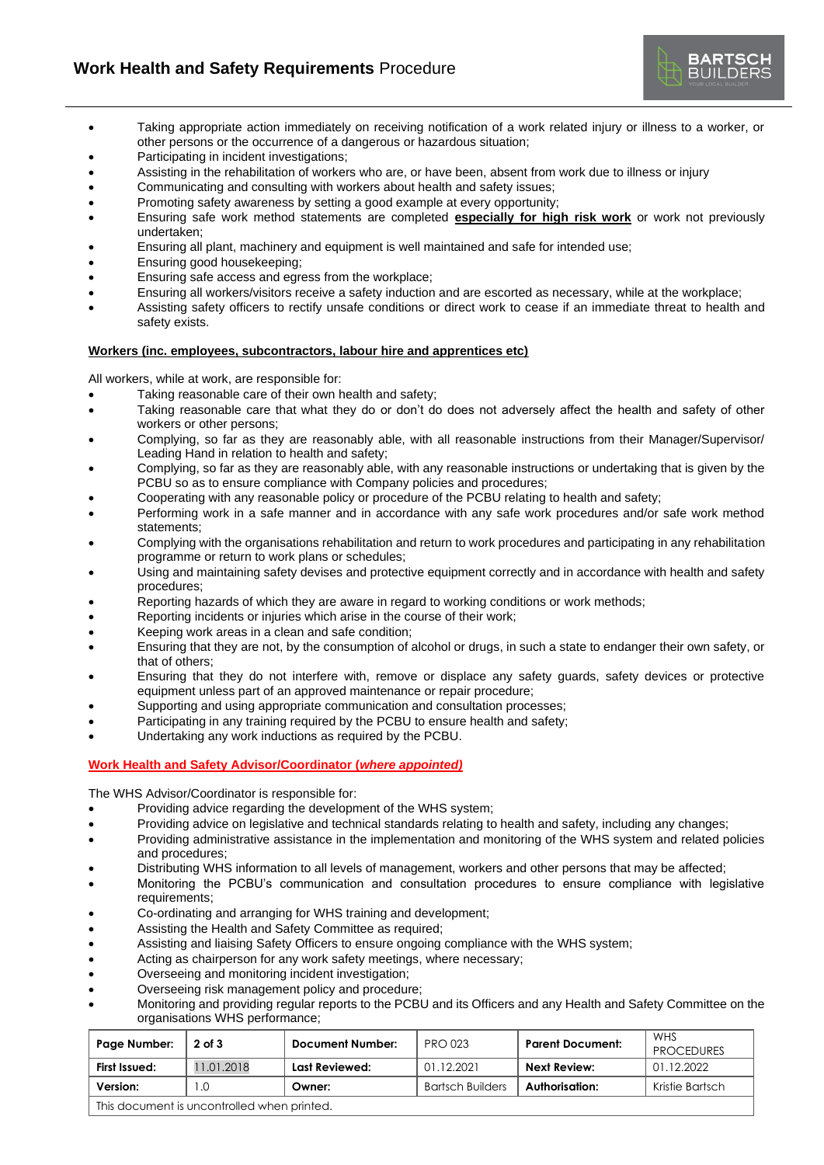

- Taking appropriate action immediately on receiving notification of a work related injury or illness to a worker, or other persons or the occurrence of a dangerous or hazardous situation;
- Participating in incident investigations;
- Assisting in the rehabilitation of workers who are, or have been, absent from work due to illness or injury
- Communicating and consulting with workers about health and safety issues;<br>• Promoting safety awareness by setting a good example at every opportunity:
- Promoting safety awareness by setting a good example at every opportunity;
- Ensuring safe work method statements are completed **especially for high risk work** or work not previously undertaken;
- Ensuring all plant, machinery and equipment is well maintained and safe for intended use;
- Ensuring good housekeeping;
- Ensuring safe access and egress from the workplace;
- Ensuring all workers/visitors receive a safety induction and are escorted as necessary, while at the workplace;
- Assisting safety officers to rectify unsafe conditions or direct work to cease if an immediate threat to health and safety exists.

### **Workers (inc. employees, subcontractors, labour hire and apprentices etc)**

All workers, while at work, are responsible for:

- Taking reasonable care of their own health and safety;
- Taking reasonable care that what they do or don't do does not adversely affect the health and safety of other workers or other persons;
- Complying, so far as they are reasonably able, with all reasonable instructions from their Manager/Supervisor/ Leading Hand in relation to health and safety;
- Complying, so far as they are reasonably able, with any reasonable instructions or undertaking that is given by the PCBU so as to ensure compliance with Company policies and procedures;
- Cooperating with any reasonable policy or procedure of the PCBU relating to health and safety;
- Performing work in a safe manner and in accordance with any safe work procedures and/or safe work method statements;
- Complying with the organisations rehabilitation and return to work procedures and participating in any rehabilitation programme or return to work plans or schedules;
- Using and maintaining safety devises and protective equipment correctly and in accordance with health and safety procedures;
- Reporting hazards of which they are aware in regard to working conditions or work methods;
- Reporting incidents or injuries which arise in the course of their work;
- Keeping work areas in a clean and safe condition;
- Ensuring that they are not, by the consumption of alcohol or drugs, in such a state to endanger their own safety, or that of others;
- Ensuring that they do not interfere with, remove or displace any safety guards, safety devices or protective equipment unless part of an approved maintenance or repair procedure;
- Supporting and using appropriate communication and consultation processes;
- Participating in any training required by the PCBU to ensure health and safety;
- Undertaking any work inductions as required by the PCBU.

# **Work Health and Safety Advisor/Coordinator (***where appointed)*

The WHS Advisor/Coordinator is responsible for:

- Providing advice regarding the development of the WHS system;
- Providing advice on legislative and technical standards relating to health and safety, including any changes;
- Providing administrative assistance in the implementation and monitoring of the WHS system and related policies and procedures;
- Distributing WHS information to all levels of management, workers and other persons that may be affected;
- Monitoring the PCBU's communication and consultation procedures to ensure compliance with legislative requirements;
- Co-ordinating and arranging for WHS training and development;
- Assisting the Health and Safety Committee as required;
- Assisting and liaising Safety Officers to ensure ongoing compliance with the WHS system;
- Acting as chairperson for any work safety meetings, where necessary;
- Overseeing and monitoring incident investigation;
- Overseeing risk management policy and procedure;
- Monitoring and providing regular reports to the PCBU and its Officers and any Health and Safety Committee on the organisations WHS performance;

| Page Number:                                | 2 of 3    | Document Number: | <b>PRO 023</b>          | <b>Parent Document:</b> | WHS<br><b>PROCEDURES</b> |  |  |
|---------------------------------------------|-----------|------------------|-------------------------|-------------------------|--------------------------|--|--|
| First Issued:                               | 1.01.2018 | Last Reviewed:   | 01.12.2021              | Next Review:            | 01.12.2022               |  |  |
| Version:                                    | L.O       | Owner:           | <b>Bartsch Builders</b> | Authorisation:          | Kristie Bartsch          |  |  |
| This document is uncontrolled when printed. |           |                  |                         |                         |                          |  |  |